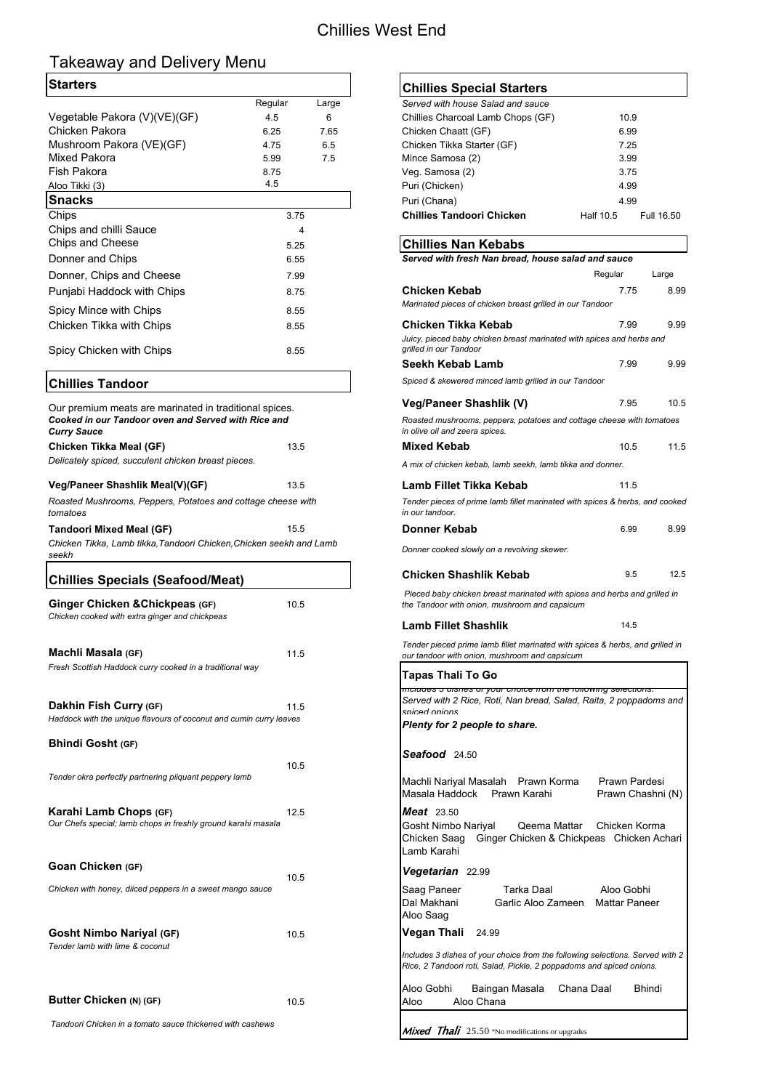## Chillies West End

# Takeaway and Delivery Menu

| Regular | Large | Served with house Salad and sauce |           |            |
|---------|-------|-----------------------------------|-----------|------------|
| 4.5     | 6     | Chillies Charcoal Lamb Chops (GF) | 10.9      |            |
| 6.25    | 7.65  | Chicken Chaatt (GF)               | 6.99      |            |
| 4.75    | 6.5   | Chicken Tikka Starter (GF)        | 7.25      |            |
| 5.99    | 7.5   | Mince Samosa (2)                  | 3.99      |            |
| 8.75    |       | Veg. Samosa (2)                   | 3.75      |            |
| 4.5     |       | Puri (Chicken)                    | 4.99      |            |
|         |       | Puri (Chana)                      | 4.99      |            |
| 3.75    |       | <b>Chillies Tandoori Chicken</b>  | Half 10.5 | Full 16.50 |
|         |       |                                   |           |            |

## **Chillies Nan Kebabs**

**Karahi Lamb Chops (GF)** 12.5 *Meat* 23.50

### **Goan Chicken (GF)**

| <b>Starters</b>                                                                              |         |       | <b>Chillies Special Starters</b>                                                                                                       |                                    |            |
|----------------------------------------------------------------------------------------------|---------|-------|----------------------------------------------------------------------------------------------------------------------------------------|------------------------------------|------------|
|                                                                                              | Regular | Large | Served with house Salad and sauce                                                                                                      |                                    |            |
| Vegetable Pakora (V)(VE)(GF)                                                                 | 4.5     | 6     | Chillies Charcoal Lamb Chops (GF)                                                                                                      | 10.9                               |            |
| <b>Chicken Pakora</b>                                                                        | 6.25    | 7.65  | Chicken Chaatt (GF)                                                                                                                    | 6.99                               |            |
| Mushroom Pakora (VE)(GF)                                                                     | 4.75    | 6.5   | Chicken Tikka Starter (GF)                                                                                                             | 7.25                               |            |
| <b>Mixed Pakora</b>                                                                          | 5.99    | 7.5   | Mince Samosa (2)                                                                                                                       | 3.99                               |            |
| <b>Fish Pakora</b>                                                                           | 8.75    |       | Veg. Samosa (2)                                                                                                                        | 3.75                               |            |
| Aloo Tikki (3)                                                                               | 4.5     |       | Puri (Chicken)                                                                                                                         | 4.99                               |            |
| <b>Snacks</b>                                                                                |         |       | Puri (Chana)                                                                                                                           | 4.99                               |            |
| Chips                                                                                        | 3.75    |       | <b>Chillies Tandoori Chicken</b>                                                                                                       | Half 10.5                          | Full 16.50 |
| Chips and chilli Sauce                                                                       |         | 4     |                                                                                                                                        |                                    |            |
| <b>Chips and Cheese</b>                                                                      | 5.25    |       | <b>Chillies Nan Kebabs</b>                                                                                                             |                                    |            |
| Donner and Chips                                                                             | 6.55    |       | Served with fresh Nan bread, house salad and sauce                                                                                     |                                    |            |
| Donner, Chips and Cheese                                                                     | 7.99    |       |                                                                                                                                        | Regular                            | Large      |
| Punjabi Haddock with Chips                                                                   | 8.75    |       | <b>Chicken Kebab</b>                                                                                                                   | 7.75                               | 8.99       |
| Spicy Mince with Chips                                                                       | 8.55    |       | Marinated pieces of chicken breast grilled in our Tandoor                                                                              |                                    |            |
|                                                                                              |         |       | <b>Chicken Tikka Kebab</b>                                                                                                             | 7.99                               | 9.99       |
| <b>Chicken Tikka with Chips</b>                                                              | 8.55    |       | Juicy, pieced baby chicken breast marinated with spices and herbs and                                                                  |                                    |            |
| Spicy Chicken with Chips                                                                     | 8.55    |       | grilled in our Tandoor                                                                                                                 |                                    |            |
|                                                                                              |         |       | <b>Seekh Kebab Lamb</b>                                                                                                                | 7.99                               | 9.99       |
| <b>Chillies Tandoor</b>                                                                      |         |       | Spiced & skewered minced lamb grilled in our Tandoor                                                                                   |                                    |            |
| Our premium meats are marinated in traditional spices.                                       |         |       | <b>Veg/Paneer Shashlik (V)</b>                                                                                                         | 7.95                               | 10.5       |
| Cooked in our Tandoor oven and Served with Rice and<br><b>Curry Sauce</b>                    |         |       | Roasted mushrooms, peppers, potatoes and cottage cheese with tomatoes<br>in olive oil and zeera spices.                                |                                    |            |
| <b>Chicken Tikka Meal (GF)</b>                                                               | 13.5    |       | <b>Mixed Kebab</b>                                                                                                                     | 10.5                               | 11.5       |
| Delicately spiced, succulent chicken breast pieces.                                          |         |       | A mix of chicken kebab, lamb seekh, lamb tikka and donner.                                                                             |                                    |            |
| Veg/Paneer Shashlik Meal(V)(GF)                                                              | 13.5    |       | Lamb Fillet Tikka Kebab                                                                                                                | 11.5                               |            |
| Roasted Mushrooms, Peppers, Potatoes and cottage cheese with<br>tomatoes                     |         |       | Tender pieces of prime lamb fillet marinated with spices & herbs, and cooked<br>in our tandoor.                                        |                                    |            |
| <b>Tandoori Mixed Meal (GF)</b>                                                              | 15.5    |       | <b>Donner Kebab</b>                                                                                                                    | 6.99                               | 8.99       |
| Chicken Tikka, Lamb tikka, Tandoori Chicken, Chicken seekh and Lamb<br>seekh                 |         |       | Donner cooked slowly on a revolving skewer.                                                                                            |                                    |            |
| Chillies Specials (Seafood/Meat)                                                             |         |       | <b>Chicken Shashlik Kebab</b>                                                                                                          | 9.5                                | 12.5       |
| Ginger Chicken & Chickpeas (GF)                                                              | 10.5    |       | Pieced baby chicken breast marinated with spices and herbs and grilled in<br>the Tandoor with onion, mushroom and capsicum             |                                    |            |
| Chicken cooked with extra ginger and chickpeas                                               |         |       | <b>Lamb Fillet Shashlik</b>                                                                                                            | 14.5                               |            |
| Machli Masala (GF)                                                                           | 11.5    |       | Tender pieced prime lamb fillet marinated with spices & herbs, and grilled in<br>our tandoor with onion, mushroom and capsicum         |                                    |            |
| Fresh Scottish Haddock curry cooked in a traditional way                                     |         |       | <b>Tapas Thali To Go</b>                                                                                                               |                                    |            |
|                                                                                              |         |       | mcrudes 5 disries or your cribice from the rollowing selections.<br>Served with 2 Rice, Roti, Nan bread, Salad, Raita, 2 poppadoms and |                                    |            |
| Dakhin Fish Curry (GF)<br>Haddock with the unique flavours of coconut and cumin curry leaves | 11.5    |       | sniced onions                                                                                                                          |                                    |            |
|                                                                                              |         |       | Plenty for 2 people to share.                                                                                                          |                                    |            |
| <b>Bhindi Gosht (GF)</b>                                                                     |         |       | Seafood 24.50                                                                                                                          |                                    |            |
|                                                                                              | 10.5    |       |                                                                                                                                        |                                    |            |
| Tender okra perfectly partnering piiquant peppery lamb                                       |         |       | Machli Nariyal Masalah Prawn Korma<br>Masala Haddock<br>Prawn Karahi                                                                   | Prawn Pardesi<br>Prawn Chashni (N) |            |

## **Chillies Special Starters**

*Tender lamb with lime & coconut*

**Butter Chicken (N) (GF)** 10.5

 *Tandoori Chicken in a tomato sauce thickened with cashews*

| Served with fresh Nan bread, house salad and sauce                                                                                                                |                                    |       |
|-------------------------------------------------------------------------------------------------------------------------------------------------------------------|------------------------------------|-------|
|                                                                                                                                                                   | Regular                            | Large |
| <b>Chicken Kebab</b><br>Marinated pieces of chicken breast grilled in our Tandoor                                                                                 | 7.75                               | 8.99  |
| Chicken Tikka Kebab<br>Juicy, pieced baby chicken breast marinated with spices and herbs and<br>grilled in our Tandoor                                            | 7.99                               | 9.99  |
| Seekh Kebab Lamb                                                                                                                                                  | 7.99                               | 9.99  |
| Spiced & skewered minced lamb grilled in our Tandoor                                                                                                              |                                    |       |
| Veg/Paneer Shashlik (V)                                                                                                                                           | 7.95                               | 10.5  |
| Roasted mushrooms, peppers, potatoes and cottage cheese with tomatoes<br>in olive oil and zeera spices.                                                           |                                    |       |
| <b>Mixed Kebab</b>                                                                                                                                                | 10.5                               | 11.5  |
| A mix of chicken kebab, lamb seekh, lamb tikka and donner.                                                                                                        |                                    |       |
| Lamb Fillet Tikka Kebab                                                                                                                                           | 11.5                               |       |
| Tender pieces of prime lamb fillet marinated with spices & herbs, and cooked<br>in our tandoor.                                                                   |                                    |       |
| Donner Kebab                                                                                                                                                      | 6.99                               | 8.99  |
| Donner cooked slowly on a revolving skewer.                                                                                                                       |                                    |       |
| <b>Chicken Shashlik Kebab</b>                                                                                                                                     | 9.5                                | 12.5  |
| Pieced baby chicken breast marinated with spices and herbs and grilled in<br>the Tandoor with onion, mushroom and capsicum                                        |                                    |       |
| <b>Lamb Fillet Shashlik</b>                                                                                                                                       | 14.5                               |       |
| Tender pieced prime lamb fillet marinated with spices & herbs, and grilled in<br>our tandoor with onion, mushroom and capsicum                                    |                                    |       |
| Tapas Thali To Go                                                                                                                                                 |                                    |       |
| <del>includes 5 dishes or your choice from the following selections.</del><br>Served with 2 Rice, Roti, Nan bread, Salad, Raita, 2 poppadoms and<br>sniced onions |                                    |       |
| Plenty for 2 people to share.                                                                                                                                     |                                    |       |
| Seafood 24.50                                                                                                                                                     |                                    |       |
| Machli Nariyal Masalah Prawn Korma<br>Masala Haddock<br>Prawn Karahi                                                                                              | Prawn Pardesi<br>Prawn Chashni (N) |       |

|      | Lamb Karahi                             | Gosht Nimbo Nariyal Qeema Mattar<br>Chicken Saag Ginger Chicken & Chickpeas Chicken Achari                                                            |            | Chicken Korma                      |
|------|-----------------------------------------|-------------------------------------------------------------------------------------------------------------------------------------------------------|------------|------------------------------------|
| 10.5 | Vegetarian 22.99                        |                                                                                                                                                       |            |                                    |
|      | Saag Paneer<br>Dal Makhani<br>Aloo Saag | Tarka Daal<br>Garlic Aloo Zameen                                                                                                                      |            | Aloo Gobhi<br><b>Mattar Paneer</b> |
| 10.5 | <b>Vegan Thali</b>                      | 24.99                                                                                                                                                 |            |                                    |
|      |                                         | Includes 3 dishes of your choice from the following selections. Served with 2<br>Rice, 2 Tandoori roti, Salad, Pickle, 2 poppadoms and spiced onions. |            |                                    |
| 10.5 | Aloo Gobhi<br>Aloo                      | Baingan Masala<br>Aloo Chana                                                                                                                          | Chana Daal | <b>Bhindi</b>                      |
|      |                                         |                                                                                                                                                       |            |                                    |

Mixed Thali 25.50 \*No modifications or upgrades

*Our Chefs special; lamb chops in freshly ground karahi masala*

*Chicken with honey, diiced peppers in a sweet mango sauce*

**Gosht Nimbo Nariyal (GF)** 10.5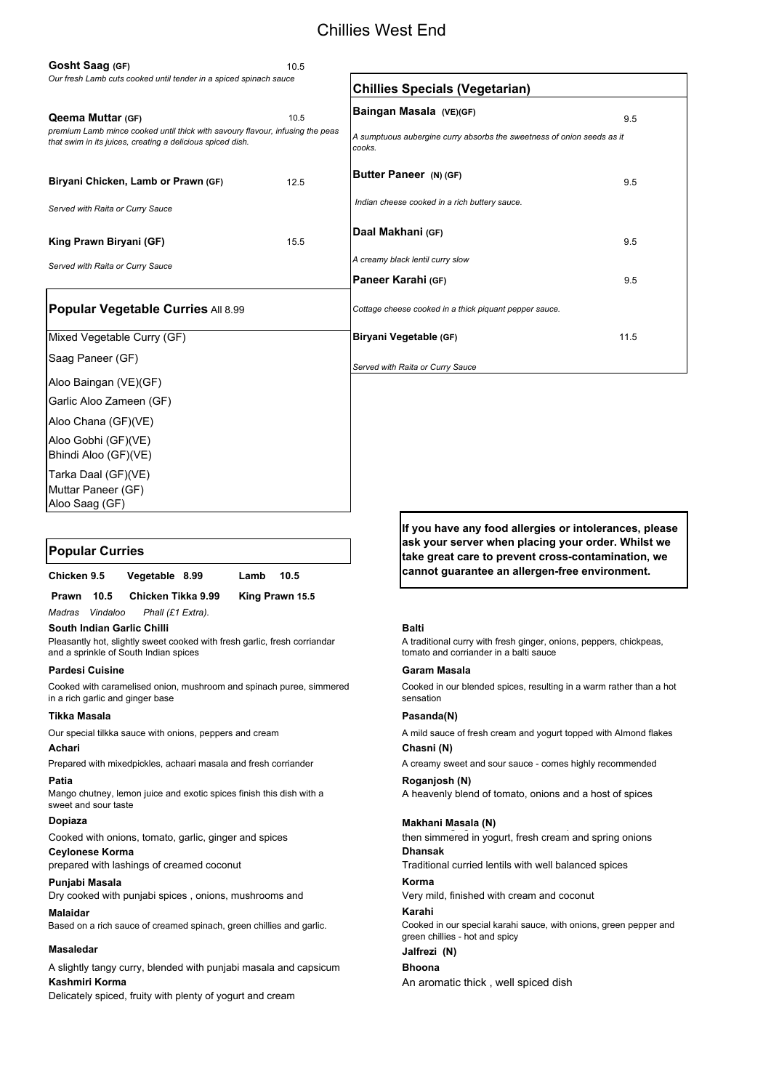## Chillies West End

Muttar Paneer (GF) Aloo Saag (GF)

A slightly tangy curry, blended with punjabi masala and capsicum **Bhoona Kashmiri Korma An aromatic thick , well spiced dish Kashmiri Korma** 

| <b>Popular Curries</b> |                |      |      |
|------------------------|----------------|------|------|
| Chicken 9.5            | Vegetable 8.99 | Lamb | 10.5 |

*Madras Vindaloo Phall (£1 Extra).*

**South Indian Garlic Chilli** Baltic Baltic Baltic Baltic Baltic Baltic Baltic Baltic Baltic Baltic Baltic Baltic Ba

### **Pardesi Cuisine Garam Masala**

### **Tikka Masala Pasanda(N)**

### **Achari Chasni (N)**

### **Patia Roganjosh (N)**

A heavenly blend of tomato, onions and a host of spices

Traditional curried lentils with well balanced spices

### **Punjabi Masala Korma**

Dry cooked with punjabi spices, onions, mushrooms and Very mild, finished with cream and coconut

### **Malaidar Karahi**

### **Masaledar Jalfrezi (N)**

### **Dopiaza Makhani Masala (N)** g g ,g p , ,

Delicately spiced, fruity with plenty of yogurt and cream

Cooked in our special karahi sauce, with onions, green pepper and green chillies - hot and spicy

then simmered in yogurt, fresh cream and spring onions

A creamy sweet and sour sauce - comes highly recommended

| Gosht Saag (GF)                                                                                                                             | 10.5 |                                                                                  |      |
|---------------------------------------------------------------------------------------------------------------------------------------------|------|----------------------------------------------------------------------------------|------|
| Our fresh Lamb cuts cooked until tender in a spiced spinach sauce                                                                           |      | <b>Chillies Specials (Vegetarian)</b>                                            |      |
| <b>Qeema Muttar (GF)</b>                                                                                                                    | 10.5 | Baingan Masala (VE)(GF)                                                          | 9.5  |
| premium Lamb mince cooked until thick with savoury flavour, infusing the peas<br>that swim in its juices, creating a delicious spiced dish. |      | A sumptuous aubergine curry absorbs the sweetness of onion seeds as it<br>cooks. |      |
| Biryani Chicken, Lamb or Prawn (GF)                                                                                                         | 12.5 | Butter Paneer (N) (GF)                                                           | 9.5  |
| Served with Raita or Curry Sauce                                                                                                            |      | Indian cheese cooked in a rich buttery sauce.                                    |      |
| King Prawn Biryani (GF)                                                                                                                     | 15.5 | Daal Makhani (GF)                                                                | 9.5  |
| Served with Raita or Curry Sauce                                                                                                            |      | A creamy black lentil curry slow                                                 |      |
|                                                                                                                                             |      | Paneer Karahi (GF)                                                               | 9.5  |
| Popular Vegetable Curries All 8.99                                                                                                          |      | Cottage cheese cooked in a thick piquant pepper sauce.                           |      |
| Mixed Vegetable Curry (GF)                                                                                                                  |      | Biryani Vegetable (GF)                                                           | 11.5 |
| Saag Paneer (GF)                                                                                                                            |      | Served with Raita or Curry Sauce                                                 |      |
| Aloo Baingan (VE)(GF)                                                                                                                       |      |                                                                                  |      |
| Garlic Aloo Zameen (GF)                                                                                                                     |      |                                                                                  |      |
| Aloo Chana (GF)(VE)                                                                                                                         |      |                                                                                  |      |
| Aloo Gobhi (GF)(VE)<br>Bhindi Aloo (GF)(VE)                                                                                                 |      |                                                                                  |      |
| Tarka Daal (GF)(VE)                                                                                                                         |      |                                                                                  |      |

Based on a rich sauce of creamed spinach, green chillies and garlic.

 **Prawn 10.5 Chicken Tikka 9.99 King Prawn 15.5**

**Ceylonese Korma Dhansak** Cooked with onions, tomato, garlic, ginger and spices

A traditional curry with fresh ginger, onions, peppers, chickpeas, tomato and corriander in a balti sauce

Cooked in our blended spices, resulting in a warm rather than a hot sensation

Mango chutney, lemon juice and exotic spices finish this dish with a sweet and sour taste

prepared with lashings of creamed coconut

Pleasantly hot, slightly sweet cooked with fresh garlic, fresh corriandar and a sprinkle of South Indian spices

Cooked with caramelised onion, mushroom and spinach puree, simmered in a rich garlic and ginger base

Our special tilkka sauce with onions, peppers and cream

Prepared with mixedpickles, achaari masala and fresh corriander

A mild sauce of fresh cream and yogurt topped with Almond flakes

**If you have any food allergies or intolerances, please ask your server when placing your order. Whilst we take great care to prevent cross-contamination, we cannot guarantee an allergen-free environment.**